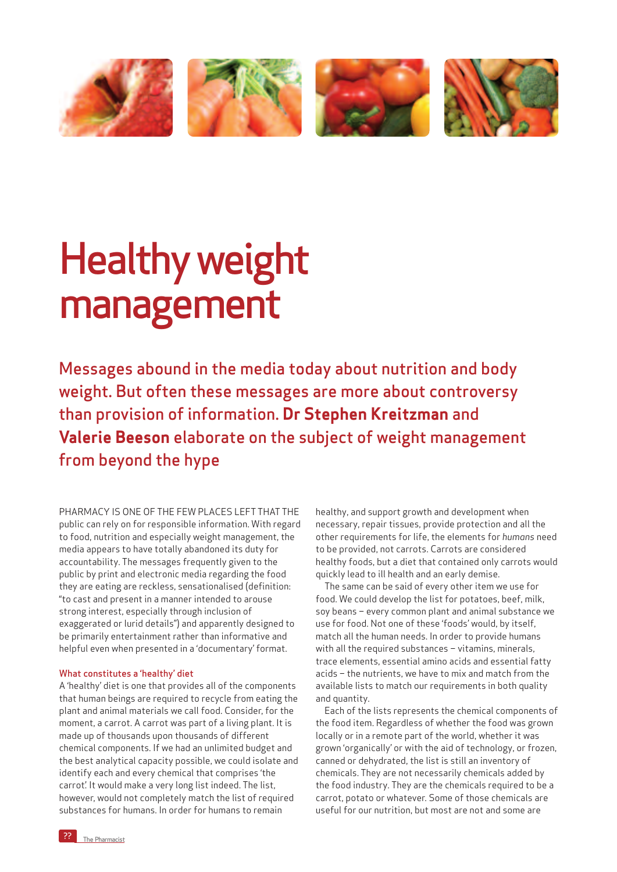

## Healthy weight management

Messages abound in the media today about nutrition and body weight. But often these messages are more about controversy than provision of information. **Dr Stephen Kreitzman** and **Valerie Beeson** elaborate on the subject of weight management from beyond the hype

PHARMACY IS ONE OF THE FEW PLACES LEFT THAT THE public can rely on for responsible information. With regard to food, nutrition and especially weight management, the media appears to have totally abandoned its duty for accountability. The messages frequently given to the public by print and electronic media regarding the food they are eating are reckless, sensationalised (definition: "to cast and present in a manner intended to arouse strong interest, especially through inclusion of exaggerated or lurid details") and apparently designed to be primarily entertainment rather than informative and helpful even when presented in a 'documentary' format.

## What constitutes a 'healthy' diet

A 'healthy' diet is one that provides all of the components that human beings are required to recycle from eating the plant and animal materials we call food. Consider, for the moment, a carrot. A carrot was part of a living plant. It is made up of thousands upon thousands of different chemical components. If we had an unlimited budget and the best analytical capacity possible, we could isolate and identify each and every chemical that comprises 'the carrot'. It would make a very long list indeed. The list, however, would not completely match the list of required substances for humans. In order for humans to remain

healthy, and support growth and development when necessary, repair tissues, provide protection and all the other requirements for life, the elements for *humans* need to be provided, not carrots. Carrots are considered healthy foods, but a diet that contained only carrots would quickly lead to ill health and an early demise.

The same can be said of every other item we use for food. We could develop the list for potatoes, beef, milk, soy beans – every common plant and animal substance we use for food. Not one of these 'foods' would, by itself, match all the human needs. In order to provide humans with all the required substances – vitamins, minerals, trace elements, essential amino acids and essential fatty acids – the nutrients, we have to mix and match from the available lists to match our requirements in both quality and quantity.

Each of the lists represents the chemical components of the food item. Regardless of whether the food was grown locally or in a remote part of the world, whether it was grown 'organically' or with the aid of technology, or frozen, canned or dehydrated, the list is still an inventory of chemicals. They are not necessarily chemicals added by the food industry. They are the chemicals required to be a carrot, potato or whatever. Some of those chemicals are useful for our nutrition, but most are not and some are